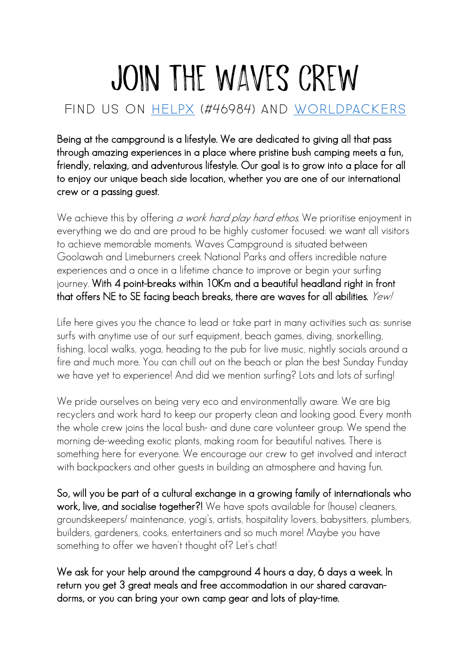## JOIN THE WAVES CREW

## Find us on helpx (#46984) and worldpackers

Being at the campground is a lifestyle. We are dedicated to giving all that pass through amazing experiences in a place where pristine bush camping meets a fun, friendly, relaxing, and adventurous lifestyle. Our goal is to grow into a place for all to enjoy our unique beach side location, whether you are one of our international crew or a passing guest.

We achieve this by offering a work hard play hard ethos. We prioritise enjoyment in everything we do and are proud to be highly customer focused: we want all visitors to achieve memorable moments. Waves Campground is situated between Goolawah and Limeburners creek National Parks and offers incredible nature experiences and a once in a lifetime chance to improve or begin your surfing journey. With 4 point-breaks within 10Km and a beautiful headland right in front that offers NE to SE facing beach breaks, there are waves for all abilities.  $\text{Yewl}$ 

Life here gives you the chance to lead or take part in many activities such as: sunrise surfs with anytime use of our surf equipment, beach games, diving, snorkelling, fishing, local walks, yoga, heading to the pub for live music, nightly socials around a fire and much more. You can chill out on the beach or plan the best Sunday Funday we have yet to experience! And did we mention surfing? Lots and lots of surfing!

We pride ourselves on being very eco and environmentally aware. We are big recyclers and work hard to keep our property clean and looking good. Every month the whole crew joins the local bush- and dune care volunteer group. We spend the morning de-weeding exotic plants, making room for beautiful natives. There is something here for everyone. We encourage our crew to get involved and interact with backpackers and other guests in building an atmosphere and having fun.

So, will you be part of a cultural exchange in a growing family of internationals who work, live, and socialise together?! We have spots available for (house) cleaners, groundskeepers/ maintenance, yogi's, artists, hospitality lovers, babysitters, plumbers, builders, gardeners, cooks, entertainers and so much more! Maybe you have something to offer we haven't thought of? Let's chat!

We ask for your help around the campground 4 hours a day, 6 days a week. In return you get 3 great meals and free accommodation in our shared caravandorms, or you can bring your own camp gear and lots of play-time.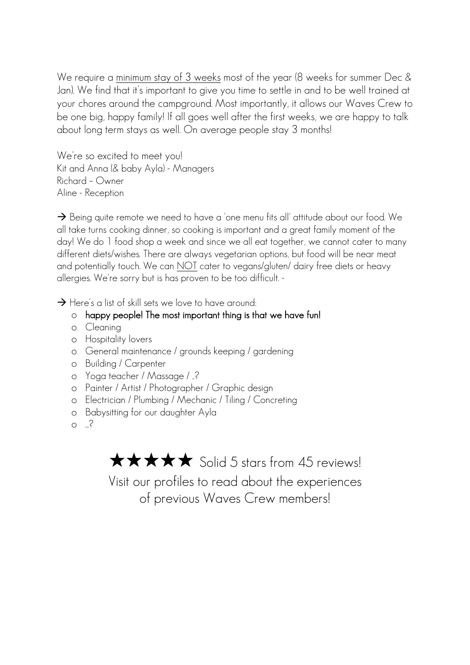We require a minimum stay of 3 weeks most of the year (8 weeks for summer Dec & Jan). We find that it's important to give you time to settle in and to be well trained at your chores around the campground. Most importantly, it allows our Waves Crew to be one big, happy family! If all goes well after the first weeks, we are happy to talk about long term stays as well. On average people stay 3 months!

We're so excited to meet you! Kit and Anna (& baby Ayla) - Managers Richard – Owner Aline - Reception

 $\rightarrow$  Being quite remote we need to have a 'one menu fits all' attitude about our food. We all take turns cooking dinner, so cooking is important and a great family moment of the day! We do 1 food shop a week and since we all eat together, we cannot cater to many different diets/wishes. There are always vegetarian options, but food will be near meat and potentially touch. We can NOT cater to vegans/gluten/ dairy free diets or heavy allergies. We're sorry but is has proven to be too difficult. -

 $\rightarrow$  Here's a list of skill sets we love to have around:

## o happy people! The most important thing is that we have fun!

- o Cleaning
- o Hospitality lovers
- o General maintenance / grounds keeping / gardening
- o Building / Carpenter
- o Yoga teacher / Massage / ..?
- o Painter / Artist / Photographer / Graphic design
- o Electrician / Plumbing / Mechanic / Tiling / Concreting
- o Babysitting for our daughter Ayla
- $\circ$   $\cdot$ ?

**★★★★★** Solid 5 stars from 45 reviews!

Visit our profiles to read about the experiences of previous Waves Crew members!